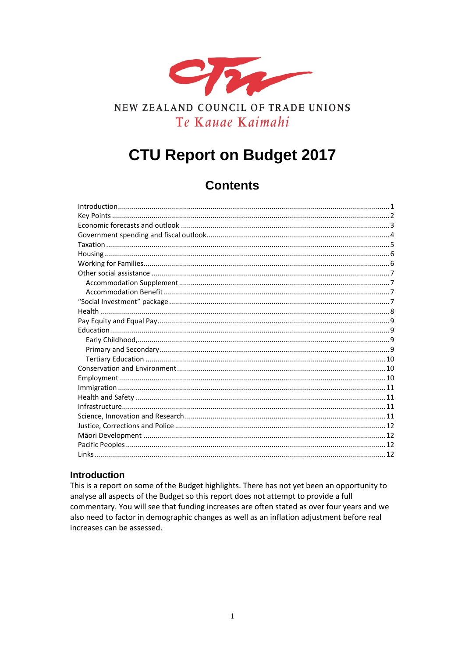

# NEW ZEALAND COUNCIL OF TRADE UNIONS Te Kauae Kaimahi

# **CTU Report on Budget 2017**

# **Contents**

#### <span id="page-0-0"></span>**Introduction**

This is a report on some of the Budget highlights. There has not yet been an opportunity to analyse all aspects of the Budget so this report does not attempt to provide a full commentary. You will see that funding increases are often stated as over four years and we also need to factor in demographic changes as well as an inflation adjustment before real increases can be assessed.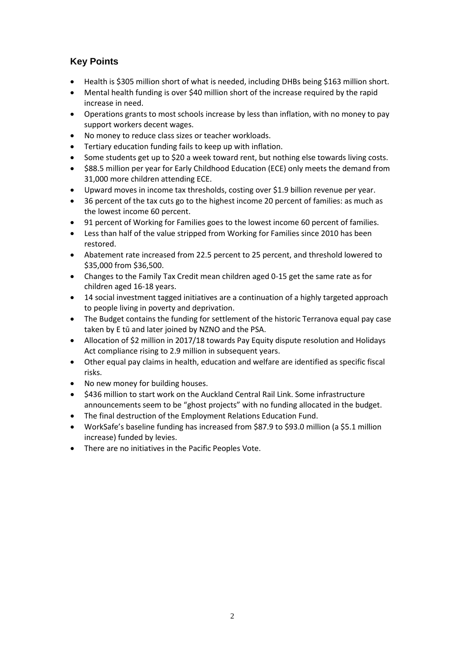# <span id="page-1-0"></span>**Key Points**

- Health is \$305 million short of what is needed, including DHBs being \$163 million short.
- Mental health funding is over \$40 million short of the increase required by the rapid increase in need.
- Operations grants to most schools increase by less than inflation, with no money to pay support workers decent wages.
- No money to reduce class sizes or teacher workloads.
- Tertiary education funding fails to keep up with inflation.
- Some students get up to \$20 a week toward rent, but nothing else towards living costs.
- \$88.5 million per year for Early Childhood Education (ECE) only meets the demand from 31,000 more children attending ECE.
- Upward moves in income tax thresholds, costing over \$1.9 billion revenue per year.
- 36 percent of the tax cuts go to the highest income 20 percent of families: as much as the lowest income 60 percent.
- 91 percent of Working for Families goes to the lowest income 60 percent of families.
- Less than half of the value stripped from Working for Families since 2010 has been restored.
- Abatement rate increased from 22.5 percent to 25 percent, and threshold lowered to \$35,000 from \$36,500.
- Changes to the Family Tax Credit mean children aged 0-15 get the same rate as for children aged 16-18 years.
- 14 social investment tagged initiatives are a continuation of a highly targeted approach to people living in poverty and deprivation.
- The Budget contains the funding for settlement of the historic Terranova equal pay case taken by E tū and later joined by NZNO and the PSA.
- Allocation of \$2 million in 2017/18 towards Pay Equity dispute resolution and Holidays Act compliance rising to 2.9 million in subsequent years.
- Other equal pay claims in health, education and welfare are identified as specific fiscal risks.
- No new money for building houses.
- \$436 million to start work on the Auckland Central Rail Link. Some infrastructure announcements seem to be "ghost projects" with no funding allocated in the budget.
- The final destruction of the Employment Relations Education Fund.
- WorkSafe's baseline funding has increased from \$87.9 to \$93.0 million (a \$5.1 million increase) funded by levies.
- There are no initiatives in the Pacific Peoples Vote.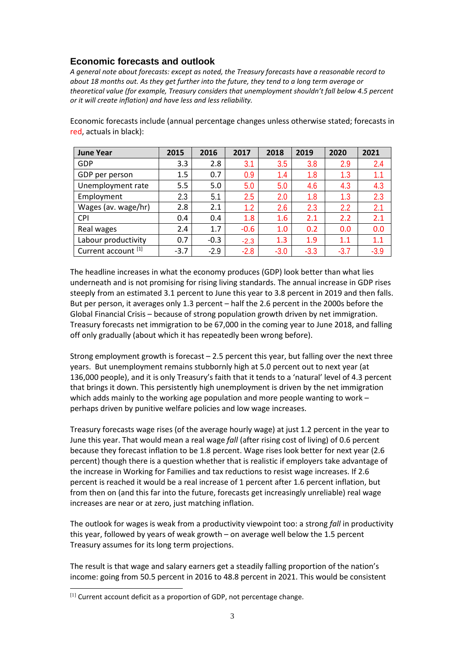# <span id="page-2-0"></span>**Economic forecasts and outlook**

*A general note about forecasts: except as noted, the Treasury forecasts have a reasonable record to about 18 months out. As they get further into the future, they tend to a long term average or theoretical value (for example, Treasury considers that unemployment shouldn't fall below 4.5 percent or it will create inflation) and have less and less reliability.*

Economic forecasts include (annual percentage changes unless otherwise stated; forecasts in red, actuals in black):

| <b>June Year</b>    | 2015   | 2016   | 2017   | 2018   | 2019   | 2020   | 2021   |
|---------------------|--------|--------|--------|--------|--------|--------|--------|
| GDP                 | 3.3    | 2.8    | 3.1    | 3.5    | 3.8    | 2.9    | 2.4    |
| GDP per person      | 1.5    | 0.7    | 0.9    | 1.4    | 1.8    | 1.3    | 1.1    |
| Unemployment rate   | 5.5    | 5.0    | 5.0    | 5.0    | 4.6    | 4.3    | 4.3    |
| Employment          | 2.3    | 5.1    | 2.5    | 2.0    | 1.8    | 1.3    | 2.3    |
| Wages (av. wage/hr) | 2.8    | 2.1    | 1.2    | 2.6    | 2.3    | 2.2    | 2.1    |
| <b>CPI</b>          | 0.4    | 0.4    | 1.8    | 1.6    | 2.1    | 2.2    | 2.1    |
| Real wages          | 2.4    | 1.7    | $-0.6$ | 1.0    | 0.2    | 0.0    | 0.0    |
| Labour productivity | 0.7    | $-0.3$ | $-2.3$ | 1.3    | 1.9    | 1.1    | 1.1    |
| Current account [1] | $-3.7$ | $-2.9$ | $-2.8$ | $-3.0$ | $-3.3$ | $-3.7$ | $-3.9$ |

The headline increases in what the economy produces (GDP) look better than what lies underneath and is not promising for rising living standards. The annual increase in GDP rises steeply from an estimated 3.1 percent to June this year to 3.8 percent in 2019 and then falls. But per person, it averages only 1.3 percent – half the 2.6 percent in the 2000s before the Global Financial Crisis – because of strong population growth driven by net immigration. Treasury forecasts net immigration to be 67,000 in the coming year to June 2018, and falling off only gradually (about which it has repeatedly been wrong before).

Strong employment growth is forecast  $-2.5$  percent this year, but falling over the next three years. But unemployment remains stubbornly high at 5.0 percent out to next year (at 136,000 people), and it is only Treasury's faith that it tends to a 'natural' level of 4.3 percent that brings it down. This persistently high unemployment is driven by the net immigration which adds mainly to the working age population and more people wanting to work – perhaps driven by punitive welfare policies and low wage increases.

Treasury forecasts wage rises (of the average hourly wage) at just 1.2 percent in the year to June this year. That would mean a real wage *fall* (after rising cost of living) of 0.6 percent because they forecast inflation to be 1.8 percent. Wage rises look better for next year (2.6 percent) though there is a question whether that is realistic if employers take advantage of the increase in Working for Families and tax reductions to resist wage increases. If 2.6 percent is reached it would be a real increase of 1 percent after 1.6 percent inflation, but from then on (and this far into the future, forecasts get increasingly unreliable) real wage increases are near or at zero, just matching inflation.

The outlook for wages is weak from a productivity viewpoint too: a strong *fall* in productivity this year, followed by years of weak growth – on average well below the 1.5 percent Treasury assumes for its long term projections.

The result is that wage and salary earners get a steadily falling proportion of the nation's income: going from 50.5 percent in 2016 to 48.8 percent in 2021. This would be consistent

j

<span id="page-2-1"></span> $[1]$  Current account deficit as a proportion of GDP, not percentage change.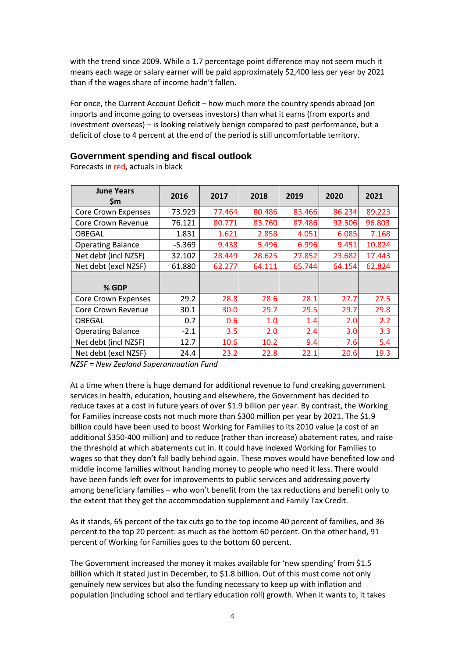with the trend since 2009. While a 1.7 percentage point difference may not seem much it means each wage or salary earner will be paid approximately \$2,400 less per year by 2021 than if the wages share of income hadn't fallen.

For once, the Current Account Deficit – how much more the country spends abroad (on imports and income going to overseas investors) than what it earns (from exports and investment overseas) – is looking relatively benign compared to past performance, but a deficit of close to 4 percent at the end of the period is still uncomfortable territory.

#### <span id="page-3-0"></span>**Government spending and fiscal outlook**

Forecasts in red, actuals in black

| <b>June Years</b><br><b>Sm</b> | 2016     | 2017   | 2018   | 2019   | 2020   | 2021   |
|--------------------------------|----------|--------|--------|--------|--------|--------|
| <b>Core Crown Expenses</b>     | 73.929   | 77.464 | 80.486 | 83.466 | 86.234 | 89.223 |
| Core Crown Revenue             | 76.121   | 80.771 | 83.760 | 87.486 | 92.506 | 96.803 |
| <b>OBEGAL</b>                  | 1.831    | 1.621  | 2.858  | 4.051  | 6.085  | 7.168  |
| <b>Operating Balance</b>       | $-5.369$ | 9.438  | 5.496  | 6.996  | 9.451  | 10.824 |
| Net debt (incl NZSF)           | 32.102   | 28.449 | 28.625 | 27.852 | 23.682 | 17.443 |
| Net debt (excl NZSF)           | 61.880   | 62.277 | 64.111 | 65.744 | 64.154 | 62.824 |
| $%$ GDP                        |          |        |        |        |        |        |
| Core Crown Expenses            | 29.2     | 28.8   | 28.6   | 28.1   | 27.7   | 27.5   |
| Core Crown Revenue             | 30.1     | 30.0   | 29.7   | 29.5   | 29.7   | 29.8   |
| <b>OBEGAL</b>                  | 0.7      | 0.6    | 1.0    | 1.4    | 2.0    | 2.2    |
| <b>Operating Balance</b>       | $-2.1$   | 3.5    | 2.0    | 2.4    | 3.0    | 3.3    |
| Net debt (incl NZSF)           | 12.7     | 10.6   | 10.2   | 9.4    | 7.6    | 5.4    |
| Net debt (excl NZSF)           | 24.4     | 23.2   | 22.8   | 22.1   | 20.6   | 19.3   |

*NZSF = New Zealand Superannuation Fund*

At a time when there is huge demand for additional revenue to fund creaking government services in health, education, housing and elsewhere, the Government has decided to reduce taxes at a cost in future years of over \$1.9 billion per year. By contrast, the Working for Families increase costs not much more than \$300 million per year by 2021. The \$1.9 billion could have been used to boost Working for Families to its 2010 value (a cost of an additional \$350-400 million) and to reduce (rather than increase) abatement rates, and raise the threshold at which abatements cut in. It could have indexed Working for Families to wages so that they don't fall badly behind again. These moves would have benefited low and middle income families without handing money to people who need it less. There would have been funds left over for improvements to public services and addressing poverty among beneficiary families – who won't benefit from the tax reductions and benefit only to the extent that they get the accommodation supplement and Family Tax Credit.

As it stands, 65 percent of the tax cuts go to the top income 40 percent of families, and 36 percent to the top 20 percent: as much as the bottom 60 percent. On the other hand, 91 percent of Working for Families goes to the bottom 60 percent.

The Government increased the money it makes available for 'new spending' from \$1.5 billion which it stated just in December, to \$1.8 billion. Out of this must come not only genuinely new services but also the funding necessary to keep up with inflation and population (including school and tertiary education roll) growth. When it wants to, it takes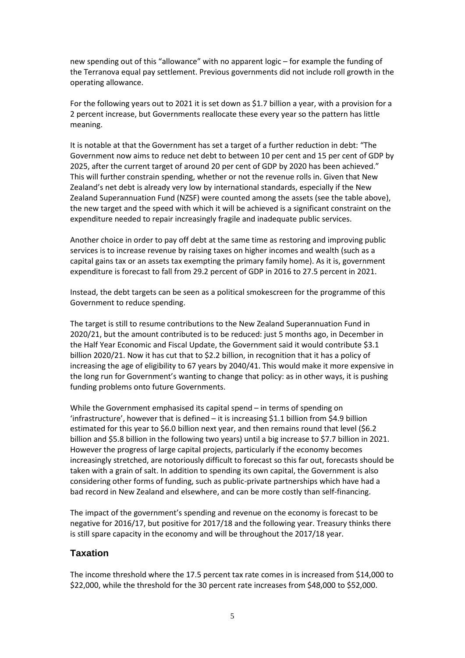new spending out of this "allowance" with no apparent logic – for example the funding of the Terranova equal pay settlement. Previous governments did not include roll growth in the operating allowance.

For the following years out to 2021 it is set down as \$1.7 billion a year, with a provision for a 2 percent increase, but Governments reallocate these every year so the pattern has little meaning.

It is notable at that the Government has set a target of a further reduction in debt: "The Government now aims to reduce net debt to between 10 per cent and 15 per cent of GDP by 2025, after the current target of around 20 per cent of GDP by 2020 has been achieved." This will further constrain spending, whether or not the revenue rolls in. Given that New Zealand's net debt is already very low by international standards, especially if the New Zealand Superannuation Fund (NZSF) were counted among the assets (see the table above), the new target and the speed with which it will be achieved is a significant constraint on the expenditure needed to repair increasingly fragile and inadequate public services.

Another choice in order to pay off debt at the same time as restoring and improving public services is to increase revenue by raising taxes on higher incomes and wealth (such as a capital gains tax or an assets tax exempting the primary family home). As it is, government expenditure is forecast to fall from 29.2 percent of GDP in 2016 to 27.5 percent in 2021.

Instead, the debt targets can be seen as a political smokescreen for the programme of this Government to reduce spending.

The target is still to resume contributions to the New Zealand Superannuation Fund in 2020/21, but the amount contributed is to be reduced: just 5 months ago, in December in the Half Year Economic and Fiscal Update, the Government said it would contribute \$3.1 billion 2020/21. Now it has cut that to \$2.2 billion, in recognition that it has a policy of increasing the age of eligibility to 67 years by 2040/41. This would make it more expensive in the long run for Government's wanting to change that policy: as in other ways, it is pushing funding problems onto future Governments.

While the Government emphasised its capital spend – in terms of spending on 'infrastructure', however that is defined – it is increasing \$1.1 billion from \$4.9 billion estimated for this year to \$6.0 billion next year, and then remains round that level (\$6.2 billion and \$5.8 billion in the following two years) until a big increase to \$7.7 billion in 2021. However the progress of large capital projects, particularly if the economy becomes increasingly stretched, are notoriously difficult to forecast so this far out, forecasts should be taken with a grain of salt. In addition to spending its own capital, the Government is also considering other forms of funding, such as public-private partnerships which have had a bad record in New Zealand and elsewhere, and can be more costly than self-financing.

The impact of the government's spending and revenue on the economy is forecast to be negative for 2016/17, but positive for 2017/18 and the following year. Treasury thinks there is still spare capacity in the economy and will be throughout the 2017/18 year.

#### <span id="page-4-0"></span>**Taxation**

The income threshold where the 17.5 percent tax rate comes in is increased from \$14,000 to \$22,000, while the threshold for the 30 percent rate increases from \$48,000 to \$52,000.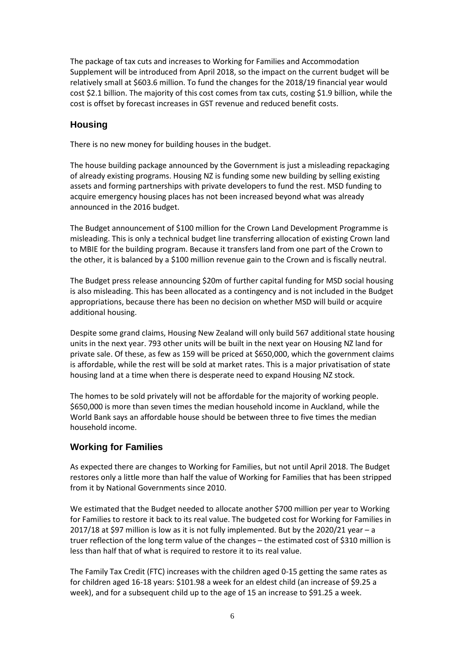The package of tax cuts and increases to Working for Families and Accommodation Supplement will be introduced from April 2018, so the impact on the current budget will be relatively small at \$603.6 million. To fund the changes for the 2018/19 financial year would cost \$2.1 billion. The majority of this cost comes from tax cuts, costing \$1.9 billion, while the cost is offset by forecast increases in GST revenue and reduced benefit costs.

#### <span id="page-5-0"></span>**Housing**

There is no new money for building houses in the budget.

The house building package announced by the Government is just a misleading repackaging of already existing programs. Housing NZ is funding some new building by selling existing assets and forming partnerships with private developers to fund the rest. MSD funding to acquire emergency housing places has not been increased beyond what was already announced in the 2016 budget.

The Budget announcement of \$100 million for the Crown Land Development Programme is misleading. This is only a technical budget line transferring allocation of existing Crown land to MBIE for the building program. Because it transfers land from one part of the Crown to the other, it is balanced by a \$100 million revenue gain to the Crown and is fiscally neutral.

The Budget press release announcing \$20m of further capital funding for MSD social housing is also misleading. This has been allocated as a contingency and is not included in the Budget appropriations, because there has been no decision on whether MSD will build or acquire additional housing.

Despite some grand claims, Housing New Zealand will only build 567 additional state housing units in the next year. 793 other units will be built in the next year on Housing NZ land for private sale. Of these, as few as 159 will be priced at \$650,000, which the government claims is affordable, while the rest will be sold at market rates. This is a major privatisation of state housing land at a time when there is desperate need to expand Housing NZ stock.

The homes to be sold privately will not be affordable for the majority of working people. \$650,000 is more than seven times the median household income in Auckland, while the World Bank says an affordable house should be between three to five times the median household income.

# <span id="page-5-1"></span>**Working for Families**

As expected there are changes to Working for Families, but not until April 2018. The Budget restores only a little more than half the value of Working for Families that has been stripped from it by National Governments since 2010.

We estimated that the Budget needed to allocate another \$700 million per year to Working for Families to restore it back to its real value. The budgeted cost for Working for Families in 2017/18 at \$97 million is low as it is not fully implemented. But by the 2020/21 year – a truer reflection of the long term value of the changes – the estimated cost of \$310 million is less than half that of what is required to restore it to its real value.

The Family Tax Credit (FTC) increases with the children aged 0-15 getting the same rates as for children aged 16-18 years: \$101.98 a week for an eldest child (an increase of \$9.25 a week), and for a subsequent child up to the age of 15 an increase to \$91.25 a week.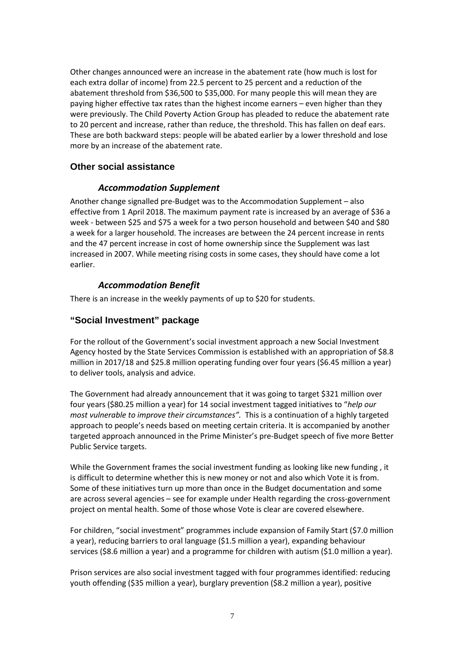Other changes announced were an increase in the abatement rate (how much is lost for each extra dollar of income) from 22.5 percent to 25 percent and a reduction of the abatement threshold from \$36,500 to \$35,000. For many people this will mean they are paying higher effective tax rates than the highest income earners – even higher than they were previously. The Child Poverty Action Group has pleaded to reduce the abatement rate to 20 percent and increase, rather than reduce, the threshold. This has fallen on deaf ears. These are both backward steps: people will be abated earlier by a lower threshold and lose more by an increase of the abatement rate.

#### <span id="page-6-1"></span><span id="page-6-0"></span>**Other social assistance**

#### *Accommodation Supplement*

Another change signalled pre-Budget was to the Accommodation Supplement – also effective from 1 April 2018. The maximum payment rate is increased by an average of \$36 a week - between \$25 and \$75 a week for a two person household and between \$40 and \$80 a week for a larger household. The increases are between the 24 percent increase in rents and the 47 percent increase in cost of home ownership since the Supplement was last increased in 2007. While meeting rising costs in some cases, they should have come a lot earlier.

#### *Accommodation Benefit*

<span id="page-6-2"></span>There is an increase in the weekly payments of up to \$20 for students.

#### <span id="page-6-3"></span>**"Social Investment" package**

For the rollout of the Government's social investment approach a new Social Investment Agency hosted by the State Services Commission is established with an appropriation of \$8.8 million in 2017/18 and \$25.8 million operating funding over four years (\$6.45 million a year) to deliver tools, analysis and advice.

The Government had already announcement that it was going to target \$321 million over four years (\$80.25 million a year) for 14 social investment tagged initiatives to "*help our most vulnerable to improve their circumstances".* This is a continuation of a highly targeted approach to people's needs based on meeting certain criteria. It is accompanied by another targeted approach announced in the Prime Minister's pre-Budget speech of five more Better Public Service targets.

While the Government frames the social investment funding as looking like new funding , it is difficult to determine whether this is new money or not and also which Vote it is from. Some of these initiatives turn up more than once in the Budget documentation and some are across several agencies – see for example under Health regarding the cross-government project on mental health. Some of those whose Vote is clear are covered elsewhere.

For children, "social investment" programmes include expansion of Family Start (\$7.0 million a year), reducing barriers to oral language (\$1.5 million a year), expanding behaviour services (\$8.6 million a year) and a programme for children with autism (\$1.0 million a year).

Prison services are also social investment tagged with four programmes identified: reducing youth offending (\$35 million a year), burglary prevention (\$8.2 million a year), positive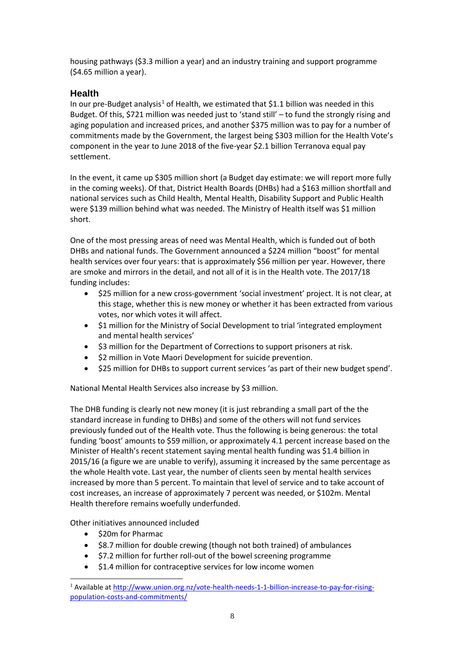housing pathways (\$3.3 million a year) and an industry training and support programme (\$4.65 million a year).

# <span id="page-7-0"></span>**Health**

In our pre-Budget analysis<sup>[1](#page-7-1)</sup> of Health, we estimated that \$1.1 billion was needed in this Budget. Of this, \$721 million was needed just to 'stand still' – to fund the strongly rising and aging population and increased prices, and another \$375 million was to pay for a number of commitments made by the Government, the largest being \$303 million for the Health Vote's component in the year to June 2018 of the five-year \$2.1 billion Terranova equal pay settlement.

In the event, it came up \$305 million short (a Budget day estimate: we will report more fully in the coming weeks). Of that, District Health Boards (DHBs) had a \$163 million shortfall and national services such as Child Health, Mental Health, Disability Support and Public Health were \$139 million behind what was needed. The Ministry of Health itself was \$1 million short.

One of the most pressing areas of need was Mental Health, which is funded out of both DHBs and national funds. The Government announced a \$224 million "boost" for mental health services over four years: that is approximately \$56 million per year. However, there are smoke and mirrors in the detail, and not all of it is in the Health vote. The 2017/18 funding includes:

- \$25 million for a new cross-government 'social investment' project. It is not clear, at this stage, whether this is new money or whether it has been extracted from various votes, nor which votes it will affect.
- \$1 million for the Ministry of Social Development to trial 'integrated employment and mental health services'
- \$3 million for the Department of Corrections to support prisoners at risk.
- \$2 million in Vote Maori Development for suicide prevention.
- \$25 million for DHBs to support current services 'as part of their new budget spend'.

National Mental Health Services also increase by \$3 million.

The DHB funding is clearly not new money (it is just rebranding a small part of the the standard increase in funding to DHBs) and some of the others will not fund services previously funded out of the Health vote. Thus the following is being generous: the total funding 'boost' amounts to \$59 million, or approximately 4.1 percent increase based on the Minister of Health's recent statement saying mental health funding was \$1.4 billion in 2015/16 (a figure we are unable to verify), assuming it increased by the same percentage as the whole Health vote. Last year, the number of clients seen by mental health services increased by more than 5 percent. To maintain that level of service and to take account of cost increases, an increase of approximately 7 percent was needed, or \$102m. Mental Health therefore remains woefully underfunded.

Other initiatives announced included

• \$20m for Pharmac

-

- \$8.7 million for double crewing (though not both trained) of ambulances
- \$7.2 million for further roll-out of the bowel screening programme
- \$1.4 million for contraceptive services for low income women

<span id="page-7-1"></span><sup>&</sup>lt;sup>1</sup> Available at [http://www.union.org.nz/vote-health-needs-1-1-billion-increase-to-pay-for-rising](http://www.union.org.nz/vote-health-needs-1-1-billion-increase-to-pay-for-rising-population-costs-and-commitments/)[population-costs-and-commitments/](http://www.union.org.nz/vote-health-needs-1-1-billion-increase-to-pay-for-rising-population-costs-and-commitments/)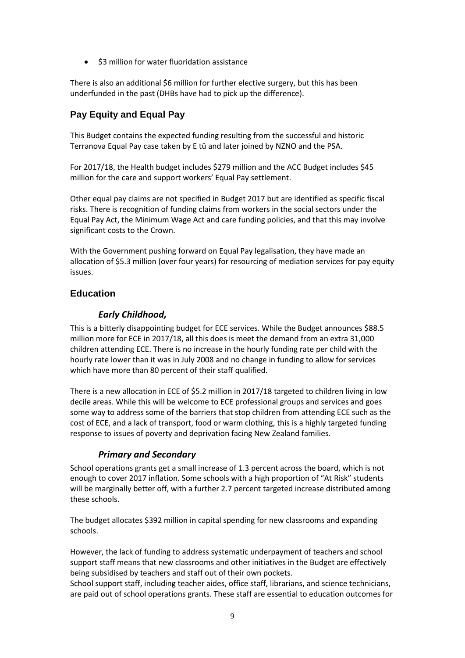• \$3 million for water fluoridation assistance

There is also an additional \$6 million for further elective surgery, but this has been underfunded in the past (DHBs have had to pick up the difference).

# <span id="page-8-0"></span>**Pay Equity and Equal Pay**

This Budget contains the expected funding resulting from the successful and historic Terranova Equal Pay case taken by E tū and later joined by NZNO and the PSA.

For 2017/18, the Health budget includes \$279 million and the ACC Budget includes \$45 million for the care and support workers' Equal Pay settlement.

Other equal pay claims are not specified in Budget 2017 but are identified as specific fiscal risks. There is recognition of funding claims from workers in the social sectors under the Equal Pay Act, the Minimum Wage Act and care funding policies, and that this may involve significant costs to the Crown.

With the Government pushing forward on Equal Pay legalisation, they have made an allocation of \$5.3 million (over four years) for resourcing of mediation services for pay equity issues.

# <span id="page-8-2"></span><span id="page-8-1"></span>**Education**

#### *Early Childhood,*

This is a bitterly disappointing budget for ECE services. While the Budget announces \$88.5 million more for ECE in 2017/18, all this does is meet the demand from an extra 31,000 children attending ECE. There is no increase in the hourly funding rate per child with the hourly rate lower than it was in July 2008 and no change in funding to allow for services which have more than 80 percent of their staff qualified.

There is a new allocation in ECE of \$5.2 million in 2017/18 targeted to children living in low decile areas. While this will be welcome to ECE professional groups and services and goes some way to address some of the barriers that stop children from attending ECE such as the cost of ECE, and a lack of transport, food or warm clothing, this is a highly targeted funding response to issues of poverty and deprivation facing New Zealand families.

#### *Primary and Secondary*

<span id="page-8-3"></span>School operations grants get a small increase of 1.3 percent across the board, which is not enough to cover 2017 inflation. Some schools with a high proportion of "At Risk" students will be marginally better off, with a further 2.7 percent targeted increase distributed among these schools.

The budget allocates \$392 million in capital spending for new classrooms and expanding schools.

However, the lack of funding to address systematic underpayment of teachers and school support staff means that new classrooms and other initiatives in the Budget are effectively being subsidised by teachers and staff out of their own pockets.

School support staff, including teacher aides, office staff, librarians, and science technicians, are paid out of school operations grants. These staff are essential to education outcomes for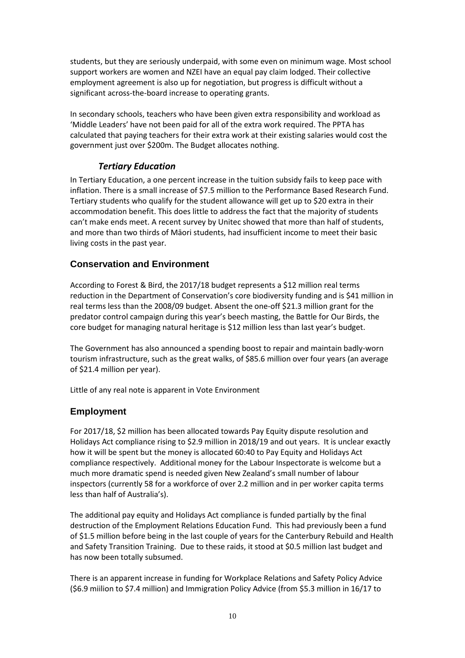students, but they are seriously underpaid, with some even on minimum wage. Most school support workers are women and NZEI have an equal pay claim lodged. Their collective employment agreement is also up for negotiation, but progress is difficult without a significant across-the-board increase to operating grants.

In secondary schools, teachers who have been given extra responsibility and workload as 'Middle Leaders' have not been paid for all of the extra work required. The PPTA has calculated that paying teachers for their extra work at their existing salaries would cost the government just over \$200m. The Budget allocates nothing.

#### *Tertiary Education*

<span id="page-9-0"></span>In Tertiary Education, a one percent increase in the tuition subsidy fails to keep pace with inflation. There is a small increase of \$7.5 million to the Performance Based Research Fund. Tertiary students who qualify for the student allowance will get up to \$20 extra in their accommodation benefit. This does little to address the fact that the majority of students can't make ends meet. A recent survey by Unitec showed that more than half of students, and more than two thirds of Māori students, had insufficient income to meet their basic living costs in the past year.

#### <span id="page-9-1"></span>**Conservation and Environment**

According to Forest & Bird, the 2017/18 budget represents a \$12 million real terms reduction in the Department of Conservation's core biodiversity funding and is \$41 million in real terms less than the 2008/09 budget. Absent the one-off \$21.3 million grant for the predator control campaign during this year's beech masting, the Battle for Our Birds, the core budget for managing natural heritage is \$12 million less than last year's budget.

The Government has also announced a spending boost to repair and maintain badly-worn tourism infrastructure, such as the great walks, of \$85.6 million over four years (an average of \$21.4 million per year).

Little of any real note is apparent in Vote Environment

#### <span id="page-9-2"></span>**Employment**

For 2017/18, \$2 million has been allocated towards Pay Equity dispute resolution and Holidays Act compliance rising to \$2.9 million in 2018/19 and out years. It is unclear exactly how it will be spent but the money is allocated 60:40 to Pay Equity and Holidays Act compliance respectively. Additional money for the Labour Inspectorate is welcome but a much more dramatic spend is needed given New Zealand's small number of labour inspectors (currently 58 for a workforce of over 2.2 million and in per worker capita terms less than half of Australia's).

The additional pay equity and Holidays Act compliance is funded partially by the final destruction of the Employment Relations Education Fund. This had previously been a fund of \$1.5 million before being in the last couple of years for the Canterbury Rebuild and Health and Safety Transition Training. Due to these raids, it stood at \$0.5 million last budget and has now been totally subsumed.

There is an apparent increase in funding for Workplace Relations and Safety Policy Advice (\$6.9 miilion to \$7.4 million) and Immigration Policy Advice (from \$5.3 million in 16/17 to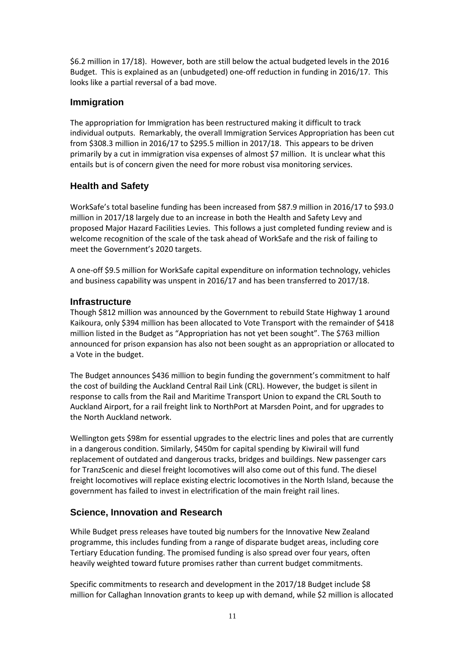\$6.2 million in 17/18). However, both are still below the actual budgeted levels in the 2016 Budget. This is explained as an (unbudgeted) one-off reduction in funding in 2016/17. This looks like a partial reversal of a bad move.

#### <span id="page-10-0"></span>**Immigration**

The appropriation for Immigration has been restructured making it difficult to track individual outputs. Remarkably, the overall Immigration Services Appropriation has been cut from \$308.3 million in 2016/17 to \$295.5 million in 2017/18. This appears to be driven primarily by a cut in immigration visa expenses of almost \$7 million. It is unclear what this entails but is of concern given the need for more robust visa monitoring services.

# <span id="page-10-1"></span>**Health and Safety**

WorkSafe's total baseline funding has been increased from \$87.9 million in 2016/17 to \$93.0 million in 2017/18 largely due to an increase in both the Health and Safety Levy and proposed Major Hazard Facilities Levies. This follows a just completed funding review and is welcome recognition of the scale of the task ahead of WorkSafe and the risk of failing to meet the Government's 2020 targets.

A one-off \$9.5 million for WorkSafe capital expenditure on information technology, vehicles and business capability was unspent in 2016/17 and has been transferred to 2017/18.

#### <span id="page-10-2"></span>**Infrastructure**

Though \$812 million was announced by the Government to rebuild State Highway 1 around Kaikoura, only \$394 million has been allocated to Vote Transport with the remainder of \$418 million listed in the Budget as "Appropriation has not yet been sought". The \$763 million announced for prison expansion has also not been sought as an appropriation or allocated to a Vote in the budget.

The Budget announces \$436 million to begin funding the government's commitment to half the cost of building the Auckland Central Rail Link (CRL). However, the budget is silent in response to calls from the Rail and Maritime Transport Union to expand the CRL South to Auckland Airport, for a rail freight link to NorthPort at Marsden Point, and for upgrades to the North Auckland network.

Wellington gets \$98m for essential upgrades to the electric lines and poles that are currently in a dangerous condition. Similarly, \$450m for capital spending by Kiwirail will fund replacement of outdated and dangerous tracks, bridges and buildings. New passenger cars for TranzScenic and diesel freight locomotives will also come out of this fund. The diesel freight locomotives will replace existing electric locomotives in the North Island, because the government has failed to invest in electrification of the main freight rail lines.

# <span id="page-10-3"></span>**Science, Innovation and Research**

While Budget press releases have touted big numbers for the Innovative New Zealand programme, this includes funding from a range of disparate budget areas, including core Tertiary Education funding. The promised funding is also spread over four years, often heavily weighted toward future promises rather than current budget commitments.

Specific commitments to research and development in the 2017/18 Budget include \$8 million for Callaghan Innovation grants to keep up with demand, while \$2 million is allocated